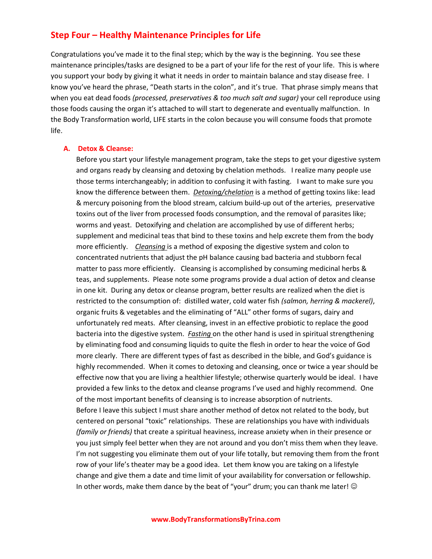## **Step Four – Healthy Maintenance Principles for Life**

Congratulations you've made it to the final step; which by the way is the beginning. You see these maintenance principles/tasks are designed to be a part of your life for the rest of your life. This is where you support your body by giving it what it needs in order to maintain balance and stay disease free. I know you've heard the phrase, "Death starts in the colon", and it's true. That phrase simply means that when you eat dead foods *(processed, preservatives & too much salt and sugar)* your cell reproduce using those foods causing the organ it's attached to will start to degenerate and eventually malfunction. In the Body Transformation world, LIFE starts in the colon because you will consume foods that promote life.

## **A. Detox & Cleanse:**

Before you start your lifestyle management program, take the steps to get your digestive system and organs ready by cleansing and detoxing by chelation methods. I realize many people use those terms interchangeably; in addition to confusing it with fasting. I want to make sure you know the difference between them. *Detoxing/chelation* is a method of getting toxins like: lead & mercury poisoning from the blood stream, calcium build-up out of the arteries, preservative toxins out of the liver from processed foods consumption, and the removal of parasites like; worms and yeast. Detoxifying and chelation are accomplished by use of different herbs; supplement and medicinal teas that bind to these toxins and help excrete them from the body more efficiently. *Cleansing* is a method of exposing the digestive system and colon to concentrated nutrients that adjust the pH balance causing bad bacteria and stubborn fecal matter to pass more efficiently. Cleansing is accomplished by consuming medicinal herbs & teas, and supplements. Please note some programs provide a dual action of detox and cleanse in one kit. During any detox or cleanse program, better results are realized when the diet is restricted to the consumption of: distilled water, cold water fish *(salmon, herring & mackerel)*, organic fruits & vegetables and the eliminating of "ALL" other forms of sugars, dairy and unfortunately red meats. After cleansing, invest in an effective probiotic to replace the good bacteria into the digestive system. *Fasting* on the other hand is used in spiritual strengthening by eliminating food and consuming liquids to quite the flesh in order to hear the voice of God more clearly. There are different types of fast as described in the bible, and God's guidance is highly recommended. When it comes to detoxing and cleansing, once or twice a year should be effective now that you are living a healthier lifestyle; otherwise quarterly would be ideal. I have provided a few links to the detox and cleanse programs I've used and highly recommend. One of the most important benefits of cleansing is to increase absorption of nutrients. Before I leave this subject I must share another method of detox not related to the body, but centered on personal "toxic" relationships. These are relationships you have with individuals *(family or friends)* that create a spiritual heaviness, increase anxiety when in their presence or you just simply feel better when they are not around and you don't miss them when they leave. I'm not suggesting you eliminate them out of your life totally, but removing them from the front row of your life's theater may be a good idea. Let them know you are taking on a lifestyle change and give them a date and time limit of your availability for conversation or fellowship. In other words, make them dance by the beat of "your" drum; you can thank me later!  $\odot$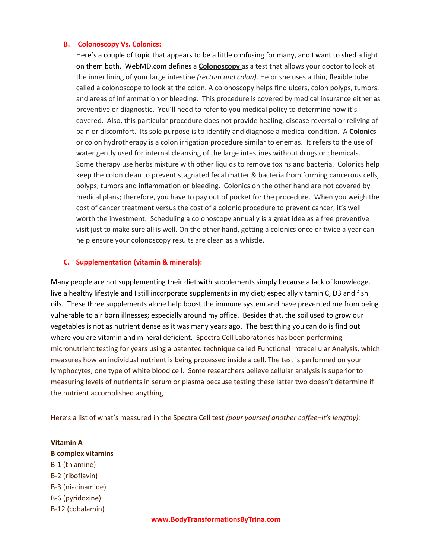## **B. Colonoscopy Vs. Colonics:**

Here's a couple of topic that appears to be a little confusing for many, and I want to shed a light on them both. WebMD.com defines a **Colonoscopy** as a test that allows your doctor to look at the inner lining of your large intestine *(rectum and colon)*. He or she uses a thin, flexible tube called a colonoscope to look at the colon. A colonoscopy helps find ulcers, colon polyps, tumors, and areas of inflammation or bleeding. This procedure is covered by medical insurance either as preventive or diagnostic. You'll need to refer to you medical policy to determine how it's covered. Also, this particular procedure does not provide healing, disease reversal or reliving of pain or discomfort. Its sole purpose is to identify and diagnose a medical condition. A **Colonics** or colon hydrotherapy is a colon irrigation procedure similar to enemas. It refers to the use of water gently used for internal cleansing of the large intestines without drugs or chemicals. Some therapy use herbs mixture with other liquids to remove toxins and bacteria. Colonics help keep the colon clean to prevent stagnated fecal matter & bacteria from forming cancerous cells, polyps, tumors and inflammation or bleeding. Colonics on the other hand are not covered by medical plans; therefore, you have to pay out of pocket for the procedure. When you weigh the cost of cancer treatment versus the cost of a colonic procedure to prevent cancer, it's well worth the investment. Scheduling a colonoscopy annually is a great idea as a free preventive visit just to make sure all is well. On the other hand, getting a colonics once or twice a year can help ensure your colonoscopy results are clean as a whistle.

## **C. Supplementation (vitamin & minerals):**

Many people are not supplementing their diet with supplements simply because a lack of knowledge. I live a healthy lifestyle and I still incorporate supplements in my diet; especially vitamin C, D3 and fish oils. These three supplements alone help boost the immune system and have prevented me from being vulnerable to air born illnesses; especially around my office. Besides that, the soil used to grow our vegetables is not as nutrient dense as it was many years ago. The best thing you can do is find out where you are vitamin and mineral deficient. Spectra Cell Laboratories has been performing micronutrient testing for years using a patented technique called Functional Intracellular Analysis, which measures how an individual nutrient is being processed inside a cell. The test is performed on your lymphocytes, one type of white blood cell. Some researchers believe cellular analysis is superior to measuring levels of nutrients in serum or plasma because testing these latter two doesn't determine if the nutrient accomplished anything.

Here's a list of what's measured in the Spectra Cell test *(pour yourself another coffee–it's lengthy):*

**Vitamin A B complex vitamins** B-1 (thiamine) B-2 (riboflavin) B-3 (niacinamide) B-6 (pyridoxine) B-12 (cobalamin)

**www.BodyTransformationsByTrina.com**